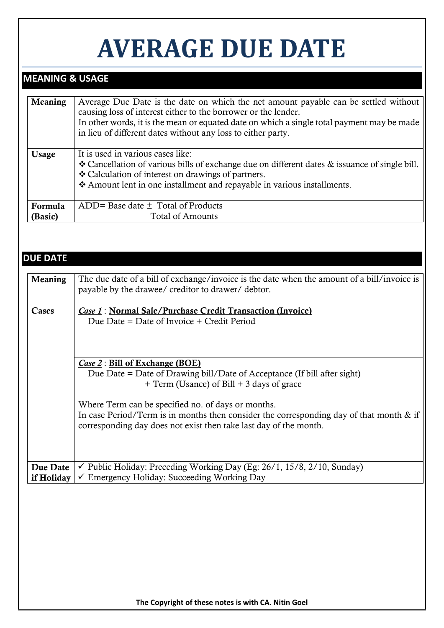# **AVERAGE DUE DATE**

# **MEANING & USAGE**

| It is used in various cases like:<br>❖ Cancellation of various bills of exchange due on different dates & issuance of single bill.<br>❖ Calculation of interest on drawings of partners.<br>* Amount lent in one installment and repayable in various installments. |
|---------------------------------------------------------------------------------------------------------------------------------------------------------------------------------------------------------------------------------------------------------------------|
| ADD= Base date $\pm$ Total of Products<br><b>Total of Amounts</b>                                                                                                                                                                                                   |
|                                                                                                                                                                                                                                                                     |

## **DUE DATE**

| <b>Meaning</b> | The due date of a bill of exchange/invoice is the date when the amount of a bill/invoice is |
|----------------|---------------------------------------------------------------------------------------------|
|                | payable by the drawee/ creditor to drawer/ debtor.                                          |
|                |                                                                                             |
|                |                                                                                             |
| Cases          | <i>Case 1</i> : Normal Sale/Purchase Credit Transaction (Invoice)                           |
|                | Due Date = Date of Invoice $+$ Credit Period                                                |
|                |                                                                                             |
|                |                                                                                             |
|                |                                                                                             |
|                |                                                                                             |
|                | Case 2 : Bill of Exchange (BOE)                                                             |
|                | Due Date = Date of Drawing bill/Date of Acceptance (If bill after sight)                    |
|                | + Term (Usance) of Bill + 3 days of grace                                                   |
|                |                                                                                             |
|                |                                                                                             |
|                | Where Term can be specified no. of days or months.                                          |
|                | In case Period/Term is in months then consider the corresponding day of that month $\&$ if  |
|                | corresponding day does not exist then take last day of the month.                           |
|                |                                                                                             |
|                |                                                                                             |
|                |                                                                                             |
|                |                                                                                             |
| Due Date       | $\checkmark$ Public Holiday: Preceding Working Day (Eg: 26/1, 15/8, 2/10, Sunday)           |
| if Holiday     | $\checkmark$ Emergency Holiday: Succeeding Working Day                                      |
|                |                                                                                             |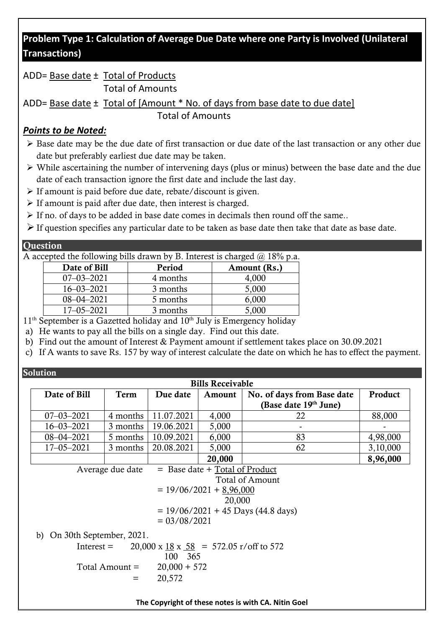# **Problem Type 1: Calculation of Average Due Date where one Party is Involved (Unilateral Transactions)**

# ADD= Base date ± Total of Products

Total of Amounts

ADD= Base date ± Total of [Amount \* No. of days from base date to due date] Total of Amounts

## *Points to be Noted:*

- ➢ Base date may be the due date of first transaction or due date of the last transaction or any other due date but preferably earliest due date may be taken.
- ➢ While ascertaining the number of intervening days (plus or minus) between the base date and the due date of each transaction ignore the first date and include the last day.
- ➢ If amount is paid before due date, rebate/discount is given.
- ➢ If amount is paid after due date, then interest is charged.
- ➢ If no. of days to be added in base date comes in decimals then round off the same..
- $\triangleright$  If question specifies any particular date to be taken as base date then take that date as base date.

## **Ouestion**

A accepted the following bills drawn by B. Interest is charged  $\omega$  18% p.a.

| Date of Bill     | Period   | Amount (Rs.) |
|------------------|----------|--------------|
| $07 - 03 - 2021$ | 4 months | 4.000        |
| $16 - 03 - 2021$ | 3 months | 5,000        |
| $08 - 04 - 2021$ | 5 months | 6,000        |
| $17 - 05 - 2021$ | 3 months | 5,000        |

 $11<sup>th</sup>$  September is a Gazetted holiday and  $10<sup>th</sup>$  July is Emergency holiday

- a) He wants to pay all the bills on a single day. Find out this date.
- b) Find out the amount of Interest & Payment amount if settlement takes place on 30.09.2021
- c) If A wants to save Rs. 157 by way of interest calculate the date on which he has to effect the payment.

**Solution** 

|                                |                                      |                                                    | <b>Bills Receivable</b>            |                                                     |          |  |  |
|--------------------------------|--------------------------------------|----------------------------------------------------|------------------------------------|-----------------------------------------------------|----------|--|--|
| Date of Bill                   | Term                                 | Due date                                           | Amount                             | No. of days from Base date                          | Product  |  |  |
|                                |                                      |                                                    |                                    | (Base date 19 <sup>th</sup> June)                   |          |  |  |
| $07 - 03 - 2021$               | 4 months                             | 11.07.2021                                         | 4,000                              | 22                                                  | 88,000   |  |  |
| $16 - 03 - 2021$               | 3 months                             | 19.06.2021                                         | 5,000                              |                                                     |          |  |  |
| $08 - 04 - 2021$               | 5 months                             | 10.09.2021                                         | 6,000                              | 83                                                  | 4,98,000 |  |  |
| $17 - 05 - 2021$               | 3 months                             | 20.08.2021                                         | 5,000                              | 62                                                  | 3,10,000 |  |  |
|                                |                                      |                                                    | 20,000                             |                                                     | 8,96,000 |  |  |
|                                | Average due date                     |                                                    | $=$ Base date $+$ Total of Product |                                                     |          |  |  |
|                                |                                      |                                                    |                                    | <b>Total of Amount</b>                              |          |  |  |
|                                |                                      |                                                    | $= 19/06/2021 + 8,96,000$          |                                                     |          |  |  |
|                                |                                      |                                                    | 20,000                             |                                                     |          |  |  |
|                                | $= 19/06/2021 + 45$ Days (44.8 days) |                                                    |                                    |                                                     |          |  |  |
|                                | $= 03/08/2021$                       |                                                    |                                    |                                                     |          |  |  |
| On 30th September, 2021.<br>b) |                                      |                                                    |                                    |                                                     |          |  |  |
| $Interest =$                   |                                      | $20,000 \times 18 \times 58 = 572.05$ r/off to 572 |                                    |                                                     |          |  |  |
|                                |                                      | 100 365                                            |                                    |                                                     |          |  |  |
|                                | Total Amount =                       | $20,000 + 572$                                     |                                    |                                                     |          |  |  |
|                                | $=$                                  | 20,572                                             |                                    |                                                     |          |  |  |
|                                |                                      |                                                    |                                    |                                                     |          |  |  |
|                                |                                      |                                                    |                                    | The Copyright of these notes is with CA. Nitin Goel |          |  |  |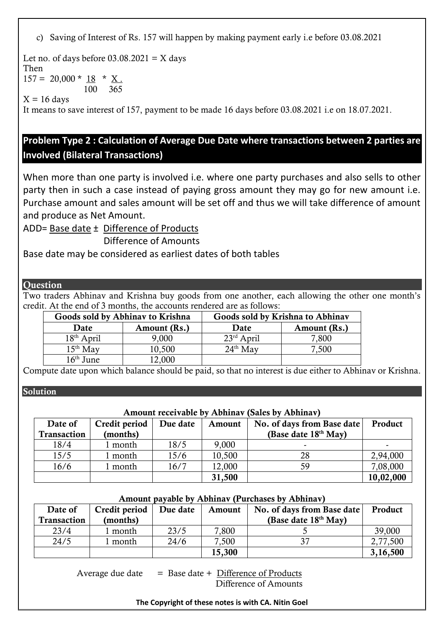c) Saving of Interest of Rs. 157 will happen by making payment early i.e before 03.08.2021

Let no. of days before  $03.08.2021 = X$  days Then  $157 = 20,000 * 18 * X$ . 100 365

 $X = 16$  days

It means to save interest of 157, payment to be made 16 days before 03.08.2021 i.e on 18.07.2021.

# **Problem Type 2 : Calculation of Average Due Date where transactions between 2 parties are Involved (Bilateral Transactions)**

When more than one party is involved i.e. where one party purchases and also sells to other party then in such a case instead of paying gross amount they may go for new amount i.e. Purchase amount and sales amount will be set off and thus we will take difference of amount and produce as Net Amount.

ADD= Base date ± Difference of Products

Difference of Amounts

Base date may be considered as earliest dates of both tables

#### **Ouestion**

Two traders Abhinav and Krishna buy goods from one another, each allowing the other one month's credit. At the end of 3 months, the accounts rendered are as follows:

| Goods sold by Abhinav to Krishna |              |              | Goods sold by Krishna to Abhinav |
|----------------------------------|--------------|--------------|----------------------------------|
| Date                             | Amount (Rs.) | Date         | Amount (Rs.)                     |
| $18th$ April                     | 9,000        | $23rd$ April | 7,800                            |
| $15th$ May                       | 10,500       | $24th$ May   | 7,500                            |
| $16th$ June                      | 12,000       |              |                                  |

Compute date upon which balance should be paid, so that no interest is due either to Abhinav or Krishna.

Solution

### Amount receivable by Abhinav (Sales by Abhinav)

| Date of     | Credit period | Due date | Amount | No. of days from Base date | Product   |
|-------------|---------------|----------|--------|----------------------------|-----------|
| Transaction | (months)      |          |        | (Base date 18th May)       |           |
| 18/4        | l month       | 18/5     | 9,000  | -                          |           |
| 15/5        | month         | 15/6     | 10,500 | 28                         | 2,94,000  |
| 16/6        | month         | 16/7     | 12,000 | 59                         | 7,08,000  |
|             |               |          | 31,500 |                            | 10,02,000 |

#### Amount payable by Abhinav (Purchases by Abhinav)

| Date of     | Credit period | Due date | Amount | No. of days from Base date       | Product  |
|-------------|---------------|----------|--------|----------------------------------|----------|
| Transaction | (months)      |          |        | (Base date 18 <sup>th</sup> May) |          |
| 23/4        | month         | 23/5     | 7,800  |                                  | 39,000   |
| 24/5        | month         | 24/6     | 7,500  |                                  | 2,77,500 |
|             |               |          | 15,300 |                                  | 3,16,500 |

Average due date  $=$  Base date + Difference of Products Difference of Amounts

#### **The Copyright of these notes is with CA. Nitin Goel**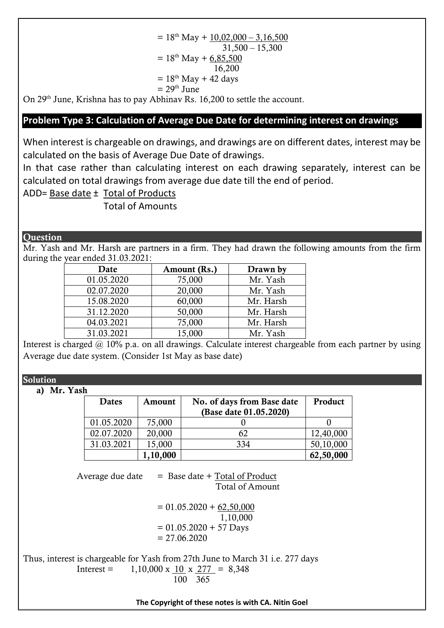$= 18<sup>th</sup>$  May + 10,02,000 – 3,16,500  $31,500 - 15,300$  $= 18^{th}$  May + 6,85,500 16,200  $= 18<sup>th</sup>$  May + 42 days  $= 29<sup>th</sup>$  June

On 29<sup>th</sup> June, Krishna has to pay Abhinav Rs. 16,200 to settle the account.

## **Problem Type 3: Calculation of Average Due Date for determining interest on drawings**

When interest is chargeable on drawings, and drawings are on different dates, interest may be calculated on the basis of Average Due Date of drawings.

In that case rather than calculating interest on each drawing separately, interest can be calculated on total drawings from average due date till the end of period.

ADD= Base date ± Total of Products

Total of Amounts

#### **Ouestion**

Mr. Yash and Mr. Harsh are partners in a firm. They had drawn the following amounts from the firm during the year ended 31.03.2021:

| Date       | Amount (Rs.) | Drawn by  |
|------------|--------------|-----------|
| 01.05.2020 | 75,000       | Mr. Yash  |
| 02.07.2020 | 20,000       | Mr. Yash  |
| 15.08.2020 | 60,000       | Mr. Harsh |
| 31.12.2020 | 50,000       | Mr. Harsh |
| 04.03.2021 | 75,000       | Mr. Harsh |
| 31.03.2021 | 15,000       | Mr. Yash  |

Interest is charged  $\omega$  10% p.a. on all drawings. Calculate interest chargeable from each partner by using Average due date system. (Consider 1st May as base date)

Solution

a) Mr. Yash

| . |            |          |                                                      |           |
|---|------------|----------|------------------------------------------------------|-----------|
|   | Dates      | Amount   | No. of days from Base date<br>(Base date 01.05.2020) | Product   |
|   | 01.05.2020 | 75,000   |                                                      |           |
|   | 02.07.2020 | 20,000   | 62                                                   | 12,40,000 |
|   | 31.03.2021 | 15,000   | 334                                                  | 50,10,000 |
|   |            | 1,10,000 |                                                      | 62,50,000 |

Average due date  $=$  Base date  $+$  Total of Product Total of Amount

> $= 01.05.2020 + 62.50,000$  1,10,000  $= 01.05.2020 + 57$  Days  $= 27.06.2020$

Thus, interest is chargeable for Yash from 27th June to March 31 i.e. 277 days Interest =  $1,10,000 \times 10 \times 277 = 8,348$ 100 365

**The Copyright of these notes is with CA. Nitin Goel**